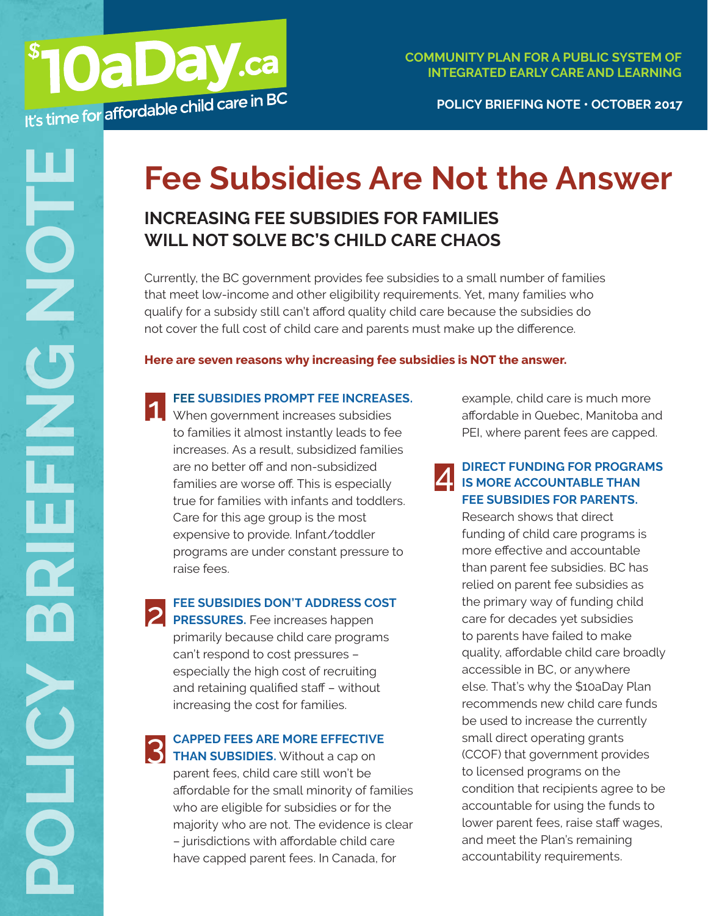**POLICY BRIEFING NOTE • OCTOBER 2017**

# **Fee Subsidies Are Not the Answer**

## **INCREASING FEE SUBSIDIES FOR FAMILIES WILL NOT SOLVE BC'S CHILD CARE CHAOS**

Currently, the BC government provides fee subsidies to a small number of families that meet low-income and other eligibility requirements. Yet, many families who qualify for a subsidy still can't afford quality child care because the subsidies do not cover the full cost of child care and parents must make up the difference.

#### **Here are seven reasons why increasing fee subsidies is NOT the answer.**



#### **FEE SUBSIDIES PROMPT FEE INCREASES.**

**TEE SUBSIDIES PROMPT FEE INCREAS**<br>
When government increases subsidies to families it almost instantly leads to fee increases. As a result, subsidized families are no better off and non-subsidized families are worse off. This is especially true for families with infants and toddlers. Care for this age group is the most expensive to provide. Infant/toddler programs are under constant pressure to raise fees.

#### **FEE SUBSIDIES DON'T ADDRESS COST**

**PRESSURES.** Fee increases happen primarily because child care programs can't respond to cost pressures – especially the high cost of recruiting and retaining qualified staff – without increasing the cost for families.

#### **CAPPED FEES ARE MORE EFFECTIVE**

**THAN SUBSIDIES.** Without a cap on parent fees, child care still won't be affordable for the small minority of families who are eligible for subsidies or for the majority who are not. The evidence is clear – jurisdictions with affordable child care have capped parent fees. In Canada, for

example, child care is much more affordable in Quebec, Manitoba and PEI, where parent fees are capped.

#### **DIRECT FUNDING FOR PROGRAMS IS MORE ACCOUNTABLE THAN FEE SUBSIDIES FOR PARENTS.**  $\Delta$

Research shows that direct funding of child care programs is more effective and accountable than parent fee subsidies. BC has relied on parent fee subsidies as the primary way of funding child care for decades yet subsidies to parents have failed to make quality, affordable child care broadly accessible in BC, or anywhere else. That's why the \$10aDay Plan recommends new child care funds be used to increase the currently small direct operating grants (CCOF) that government provides to licensed programs on the condition that recipients agree to be accountable for using the funds to lower parent fees, raise staff wages, and meet the Plan's remaining accountability requirements.